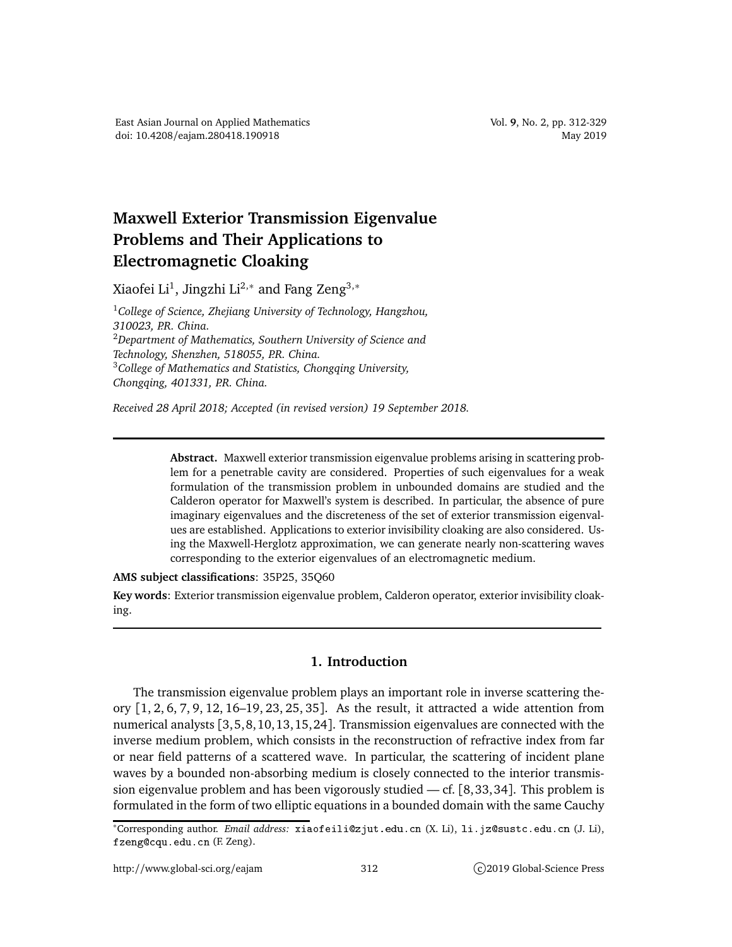## **Maxwell Exterior Transmission Eigenvalue Problems and Their Applications to Electromagnetic Cloaking**

Xiaofei Li $^1$ , Jingzhi Li $^{2,\ast}$  and Fang Zeng $^{3,\ast}$ 

<sup>1</sup>*College of Science, Zhejiang University of Technology, Hangzhou, 310023, P.R. China.* <sup>2</sup>*Department of Mathematics, Southern University of Science and Technology, Shenzhen, 518055, P.R. China.* <sup>3</sup>*College of Mathematics and Statistics, Chongqing University, Chongqing, 401331, P.R. China.*

*Received 28 April 2018; Accepted (in revised version) 19 September 2018.*

**Abstract.** Maxwell exterior transmission eigenvalue problems arising in scattering problem for a penetrable cavity are considered. Properties of such eigenvalues for a weak formulation of the transmission problem in unbounded domains are studied and the Calderon operator for Maxwell's system is described. In particular, the absence of pure imaginary eigenvalues and the discreteness of the set of exterior transmission eigenvalues are established. Applications to exterior invisibility cloaking are also considered. Using the Maxwell-Herglotz approximation, we can generate nearly non-scattering waves corresponding to the exterior eigenvalues of an electromagnetic medium.

**AMS subject classifications**: 35P25, 35Q60

**Key words**: Exterior transmission eigenvalue problem, Calderon operator, exterior invisibility cloaking.

## **1. Introduction**

The transmission eigenvalue problem plays an important role in inverse scattering theory [1, 2, 6, 7, 9, 12, 16–19, 23, 25, 35]. As the result, it attracted a wide attention from numerical analysts [3,5,8,10,13,15,24]. Transmission eigenvalues are connected with the inverse medium problem, which consists in the reconstruction of refractive index from far or near field patterns of a scattered wave. In particular, the scattering of incident plane waves by a bounded non-absorbing medium is closely connected to the interior transmission eigenvalue problem and has been vigorously studied  $-$  cf. [8,33,34]. This problem is formulated in the form of two elliptic equations in a bounded domain with the same Cauchy

<sup>\*</sup>Corresponding author. *Email address*: xiaofeili@zjut.edu.cn (X. Li), li. jz@sustc.edu.cn (J. Li), fzeng@cqu.edu.cn (F. Zeng).